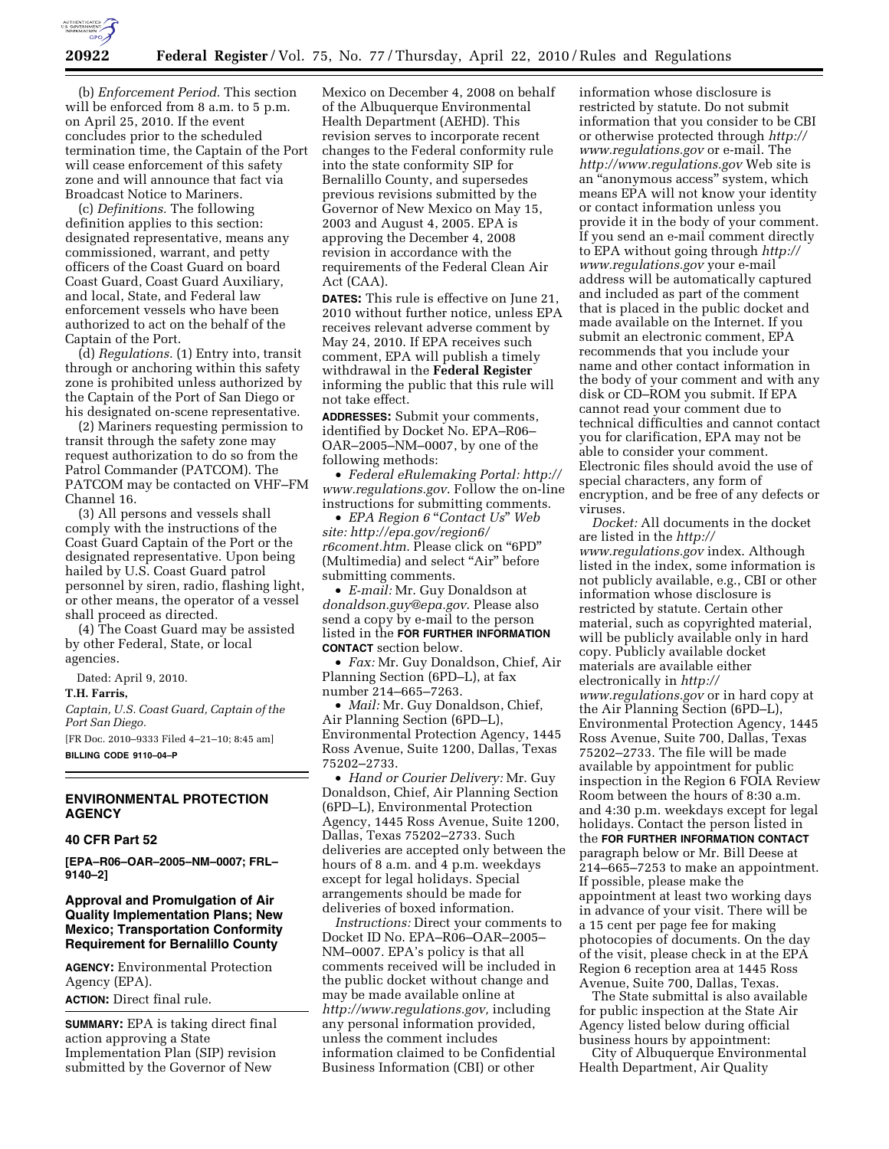

(b) *Enforcement Period.* This section will be enforced from 8 a.m. to 5 p.m. on April 25, 2010. If the event concludes prior to the scheduled termination time, the Captain of the Port will cease enforcement of this safety zone and will announce that fact via Broadcast Notice to Mariners.

(c) *Definitions.* The following definition applies to this section: designated representative, means any commissioned, warrant, and petty officers of the Coast Guard on board Coast Guard, Coast Guard Auxiliary, and local, State, and Federal law enforcement vessels who have been authorized to act on the behalf of the Captain of the Port.

(d) *Regulations.* (1) Entry into, transit through or anchoring within this safety zone is prohibited unless authorized by the Captain of the Port of San Diego or his designated on-scene representative.

(2) Mariners requesting permission to transit through the safety zone may request authorization to do so from the Patrol Commander (PATCOM). The PATCOM may be contacted on VHF–FM Channel 16.

(3) All persons and vessels shall comply with the instructions of the Coast Guard Captain of the Port or the designated representative. Upon being hailed by U.S. Coast Guard patrol personnel by siren, radio, flashing light, or other means, the operator of a vessel shall proceed as directed.

(4) The Coast Guard may be assisted by other Federal, State, or local agencies.

Dated: April 9, 2010.

### **T.H. Farris,**

*Captain, U.S. Coast Guard, Captain of the Port San Diego.* 

[FR Doc. 2010–9333 Filed 4–21–10; 8:45 am] **BILLING CODE 9110–04–P** 

## **ENVIRONMENTAL PROTECTION AGENCY**

## **40 CFR Part 52**

**[EPA–R06–OAR–2005–NM–0007; FRL– 9140–2]** 

# **Approval and Promulgation of Air Quality Implementation Plans; New Mexico; Transportation Conformity Requirement for Bernalillo County**

**AGENCY:** Environmental Protection Agency (EPA).

**ACTION:** Direct final rule.

**SUMMARY:** EPA is taking direct final action approving a State Implementation Plan (SIP) revision submitted by the Governor of New

Mexico on December 4, 2008 on behalf of the Albuquerque Environmental Health Department (AEHD). This revision serves to incorporate recent changes to the Federal conformity rule into the state conformity SIP for Bernalillo County, and supersedes previous revisions submitted by the Governor of New Mexico on May 15, 2003 and August 4, 2005. EPA is approving the December 4, 2008 revision in accordance with the requirements of the Federal Clean Air Act (CAA).

**DATES:** This rule is effective on June 21, 2010 without further notice, unless EPA receives relevant adverse comment by May 24, 2010. If EPA receives such comment, EPA will publish a timely withdrawal in the **Federal Register**  informing the public that this rule will not take effect.

**ADDRESSES:** Submit your comments, identified by Docket No. EPA–R06– OAR–2005–NM–0007, by one of the following methods:

• *Federal eRulemaking Portal: http:// www.regulations.gov*. Follow the on-line instructions for submitting comments.

• *EPA Region 6* ''*Contact Us*'' *Web site: http://epa.gov/region6/ r6coment.htm*. Please click on ''6PD'' (Multimedia) and select "Air" before submitting comments.

• *E-mail:* Mr. Guy Donaldson at *donaldson.guy@epa.gov*. Please also send a copy by e-mail to the person listed in the **FOR FURTHER INFORMATION CONTACT** section below.

• *Fax:* Mr. Guy Donaldson, Chief, Air Planning Section (6PD–L), at fax number 214–665–7263.

• *Mail:* Mr. Guy Donaldson, Chief, Air Planning Section (6PD–L), Environmental Protection Agency, 1445 Ross Avenue, Suite 1200, Dallas, Texas 75202–2733.

• *Hand or Courier Delivery:* Mr. Guy Donaldson, Chief, Air Planning Section (6PD–L), Environmental Protection Agency, 1445 Ross Avenue, Suite 1200, Dallas, Texas 75202–2733. Such deliveries are accepted only between the hours of 8 a.m. and 4 p.m. weekdays except for legal holidays. Special arrangements should be made for deliveries of boxed information.

*Instructions:* Direct your comments to Docket ID No. EPA–R06–OAR–2005– NM–0007. EPA's policy is that all comments received will be included in the public docket without change and may be made available online at *http://www.regulations.gov,* including any personal information provided, unless the comment includes information claimed to be Confidential Business Information (CBI) or other

information whose disclosure is restricted by statute. Do not submit information that you consider to be CBI or otherwise protected through *http:// www.regulations.gov* or e-mail. The *http://www.regulations.gov* Web site is an ''anonymous access'' system, which means EPA will not know your identity or contact information unless you provide it in the body of your comment. If you send an e-mail comment directly to EPA without going through *http:// www.regulations.gov* your e-mail address will be automatically captured and included as part of the comment that is placed in the public docket and made available on the Internet. If you submit an electronic comment, EPA recommends that you include your name and other contact information in the body of your comment and with any disk or CD–ROM you submit. If EPA cannot read your comment due to technical difficulties and cannot contact you for clarification, EPA may not be able to consider your comment. Electronic files should avoid the use of special characters, any form of encryption, and be free of any defects or viruses.

*Docket:* All documents in the docket are listed in the *http:// www.regulations.gov* index. Although listed in the index, some information is not publicly available, e.g., CBI or other information whose disclosure is restricted by statute. Certain other material, such as copyrighted material, will be publicly available only in hard copy. Publicly available docket materials are available either electronically in *http:// www.regulations.gov* or in hard copy at the Air Planning Section (6PD–L), Environmental Protection Agency, 1445 Ross Avenue, Suite 700, Dallas, Texas 75202–2733. The file will be made available by appointment for public inspection in the Region 6 FOIA Review Room between the hours of 8:30 a.m. and 4:30 p.m. weekdays except for legal holidays. Contact the person listed in the **FOR FURTHER INFORMATION CONTACT** paragraph below or Mr. Bill Deese at 214–665–7253 to make an appointment. If possible, please make the appointment at least two working days in advance of your visit. There will be a 15 cent per page fee for making photocopies of documents. On the day of the visit, please check in at the EPA Region 6 reception area at 1445 Ross Avenue, Suite 700, Dallas, Texas.

The State submittal is also available for public inspection at the State Air Agency listed below during official business hours by appointment:

City of Albuquerque Environmental Health Department, Air Quality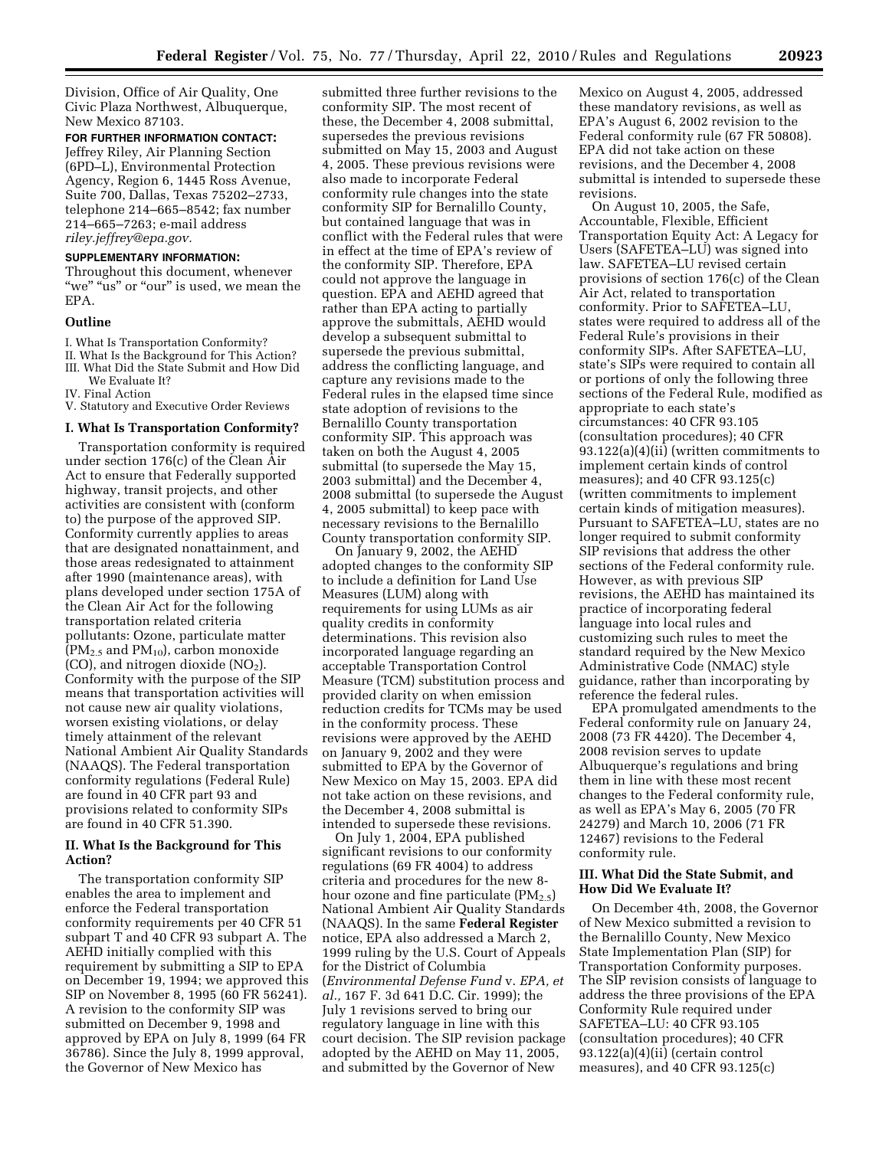Division, Office of Air Quality, One Civic Plaza Northwest, Albuquerque, New Mexico 87103.

#### **FOR FURTHER INFORMATION CONTACT:**

Jeffrey Riley, Air Planning Section (6PD–L), Environmental Protection Agency, Region 6, 1445 Ross Avenue, Suite 700, Dallas, Texas 75202–2733, telephone 214–665–8542; fax number 214–665–7263; e-mail address *riley.jeffrey@epa.gov.* 

## **SUPPLEMENTARY INFORMATION:**

Throughout this document, whenever "we" "us" or "our" is used, we mean the EPA.

#### **Outline**

I. What Is Transportation Conformity?

- II. What Is the Background for This Action? III. What Did the State Submit and How Did We Evaluate It?
- IV. Final Action
- V. Statutory and Executive Order Reviews

#### **I. What Is Transportation Conformity?**

Transportation conformity is required under section 176(c) of the Clean Air Act to ensure that Federally supported highway, transit projects, and other activities are consistent with (conform to) the purpose of the approved SIP. Conformity currently applies to areas that are designated nonattainment, and those areas redesignated to attainment after 1990 (maintenance areas), with plans developed under section 175A of the Clean Air Act for the following transportation related criteria pollutants: Ozone, particulate matter  $(PM<sub>2.5</sub>$  and  $PM<sub>10</sub>$ , carbon monoxide  $(CO)$ , and nitrogen dioxide  $NO<sub>2</sub>$ ). Conformity with the purpose of the SIP means that transportation activities will not cause new air quality violations, worsen existing violations, or delay timely attainment of the relevant National Ambient Air Quality Standards (NAAQS). The Federal transportation conformity regulations (Federal Rule) are found in 40 CFR part 93 and provisions related to conformity SIPs are found in 40 CFR 51.390.

## **II. What Is the Background for This Action?**

The transportation conformity SIP enables the area to implement and enforce the Federal transportation conformity requirements per 40 CFR 51 subpart T and 40 CFR 93 subpart A. The AEHD initially complied with this requirement by submitting a SIP to EPA on December 19, 1994; we approved this SIP on November 8, 1995 (60 FR 56241). A revision to the conformity SIP was submitted on December 9, 1998 and approved by EPA on July 8, 1999 (64 FR 36786). Since the July 8, 1999 approval, the Governor of New Mexico has

submitted three further revisions to the conformity SIP. The most recent of these, the December 4, 2008 submittal, supersedes the previous revisions submitted on May 15, 2003 and August 4, 2005. These previous revisions were also made to incorporate Federal conformity rule changes into the state conformity SIP for Bernalillo County, but contained language that was in conflict with the Federal rules that were in effect at the time of EPA's review of the conformity SIP. Therefore, EPA could not approve the language in question. EPA and AEHD agreed that rather than EPA acting to partially approve the submittals, AEHD would develop a subsequent submittal to supersede the previous submittal, address the conflicting language, and capture any revisions made to the Federal rules in the elapsed time since state adoption of revisions to the Bernalillo County transportation conformity SIP. This approach was taken on both the August 4, 2005 submittal (to supersede the May 15, 2003 submittal) and the December 4, 2008 submittal (to supersede the August 4, 2005 submittal) to keep pace with necessary revisions to the Bernalillo County transportation conformity SIP.

On January 9, 2002, the AEHD adopted changes to the conformity SIP to include a definition for Land Use Measures (LUM) along with requirements for using LUMs as air quality credits in conformity determinations. This revision also incorporated language regarding an acceptable Transportation Control Measure (TCM) substitution process and provided clarity on when emission reduction credits for TCMs may be used in the conformity process. These revisions were approved by the AEHD on January 9, 2002 and they were submitted to EPA by the Governor of New Mexico on May 15, 2003. EPA did not take action on these revisions, and the December 4, 2008 submittal is intended to supersede these revisions.

On July 1, 2004, EPA published significant revisions to our conformity regulations (69 FR 4004) to address criteria and procedures for the new 8 hour ozone and fine particulate  $(PM_{2.5})$ National Ambient Air Quality Standards (NAAQS). In the same **Federal Register**  notice, EPA also addressed a March 2, 1999 ruling by the U.S. Court of Appeals for the District of Columbia (*Environmental Defense Fund* v. *EPA, et al.,* 167 F. 3d 641 D.C. Cir. 1999); the July 1 revisions served to bring our regulatory language in line with this court decision. The SIP revision package adopted by the AEHD on May 11, 2005, and submitted by the Governor of New

Mexico on August 4, 2005, addressed these mandatory revisions, as well as EPA's August 6, 2002 revision to the Federal conformity rule (67 FR 50808). EPA did not take action on these revisions, and the December 4, 2008 submittal is intended to supersede these revisions.

On August 10, 2005, the Safe, Accountable, Flexible, Efficient Transportation Equity Act: A Legacy for Users (SAFETEA–LU) was signed into law. SAFETEA–LU revised certain provisions of section 176(c) of the Clean Air Act, related to transportation conformity. Prior to SAFETEA–LU, states were required to address all of the Federal Rule's provisions in their conformity SIPs. After SAFETEA–LU, state's SIPs were required to contain all or portions of only the following three sections of the Federal Rule, modified as appropriate to each state's circumstances: 40 CFR 93.105 (consultation procedures); 40 CFR 93.122(a)(4)(ii) (written commitments to implement certain kinds of control measures); and 40 CFR 93.125(c) (written commitments to implement certain kinds of mitigation measures). Pursuant to SAFETEA–LU, states are no longer required to submit conformity SIP revisions that address the other sections of the Federal conformity rule. However, as with previous SIP revisions, the AEHD has maintained its practice of incorporating federal language into local rules and customizing such rules to meet the standard required by the New Mexico Administrative Code (NMAC) style guidance, rather than incorporating by reference the federal rules.

EPA promulgated amendments to the Federal conformity rule on January 24, 2008 (73 FR 4420). The December 4, 2008 revision serves to update Albuquerque's regulations and bring them in line with these most recent changes to the Federal conformity rule, as well as EPA's May 6, 2005 (70 FR 24279) and March 10, 2006 (71 FR 12467) revisions to the Federal conformity rule.

## **III. What Did the State Submit, and How Did We Evaluate It?**

On December 4th, 2008, the Governor of New Mexico submitted a revision to the Bernalillo County, New Mexico State Implementation Plan (SIP) for Transportation Conformity purposes. The SIP revision consists of language to address the three provisions of the EPA Conformity Rule required under SAFETEA–LU: 40 CFR 93.105 (consultation procedures); 40 CFR 93.122(a)(4)(ii) (certain control measures), and 40 CFR 93.125(c)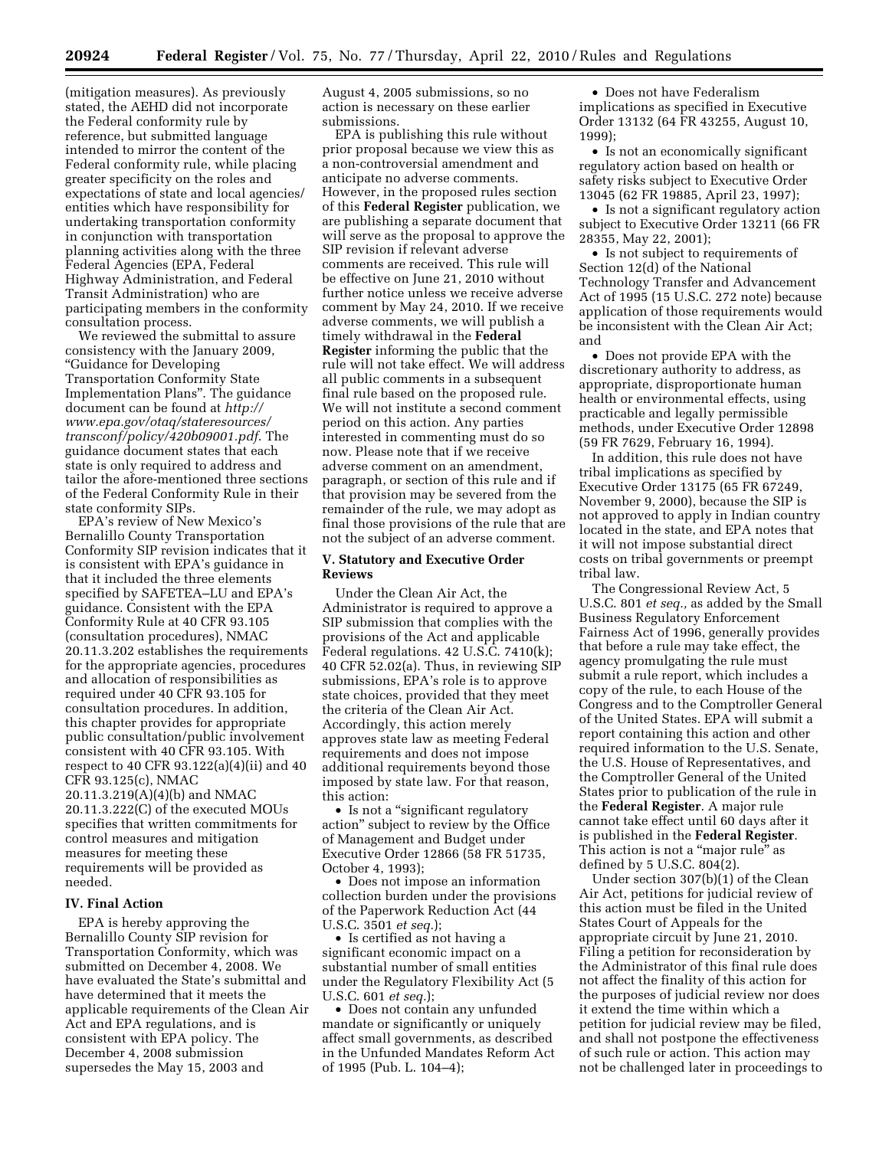(mitigation measures). As previously stated, the AEHD did not incorporate the Federal conformity rule by reference, but submitted language intended to mirror the content of the Federal conformity rule, while placing greater specificity on the roles and expectations of state and local agencies/ entities which have responsibility for undertaking transportation conformity in conjunction with transportation planning activities along with the three Federal Agencies (EPA, Federal Highway Administration, and Federal Transit Administration) who are participating members in the conformity consultation process.

We reviewed the submittal to assure consistency with the January 2009, ''Guidance for Developing Transportation Conformity State Implementation Plans''. The guidance document can be found at *http:// www.epa.gov/otaq/stateresources/ transconf/policy/420b09001.pdf*. The guidance document states that each state is only required to address and tailor the afore-mentioned three sections of the Federal Conformity Rule in their state conformity SIPs.

EPA's review of New Mexico's Bernalillo County Transportation Conformity SIP revision indicates that it is consistent with EPA's guidance in that it included the three elements specified by SAFETEA–LU and EPA's guidance. Consistent with the EPA Conformity Rule at 40 CFR 93.105 (consultation procedures), NMAC 20.11.3.202 establishes the requirements for the appropriate agencies, procedures and allocation of responsibilities as required under 40 CFR 93.105 for consultation procedures. In addition, this chapter provides for appropriate public consultation/public involvement consistent with 40 CFR 93.105. With respect to 40 CFR 93.122(a)(4)(ii) and 40 CFR 93.125(c), NMAC 20.11.3.219(A)(4)(b) and NMAC

20.11.3.222(C) of the executed MOUs specifies that written commitments for control measures and mitigation measures for meeting these requirements will be provided as needed.

#### **IV. Final Action**

EPA is hereby approving the Bernalillo County SIP revision for Transportation Conformity, which was submitted on December 4, 2008. We have evaluated the State's submittal and have determined that it meets the applicable requirements of the Clean Air Act and EPA regulations, and is consistent with EPA policy. The December 4, 2008 submission supersedes the May 15, 2003 and

August 4, 2005 submissions, so no action is necessary on these earlier submissions.

EPA is publishing this rule without prior proposal because we view this as a non-controversial amendment and anticipate no adverse comments. However, in the proposed rules section of this **Federal Register** publication, we are publishing a separate document that will serve as the proposal to approve the SIP revision if relevant adverse comments are received. This rule will be effective on June 21, 2010 without further notice unless we receive adverse comment by May 24, 2010. If we receive adverse comments, we will publish a timely withdrawal in the **Federal Register** informing the public that the rule will not take effect. We will address all public comments in a subsequent final rule based on the proposed rule. We will not institute a second comment period on this action. Any parties interested in commenting must do so now. Please note that if we receive adverse comment on an amendment, paragraph, or section of this rule and if that provision may be severed from the remainder of the rule, we may adopt as final those provisions of the rule that are not the subject of an adverse comment.

## **V. Statutory and Executive Order Reviews**

Under the Clean Air Act, the Administrator is required to approve a SIP submission that complies with the provisions of the Act and applicable Federal regulations. 42 U.S.C. 7410(k); 40 CFR 52.02(a). Thus, in reviewing SIP submissions, EPA's role is to approve state choices, provided that they meet the criteria of the Clean Air Act. Accordingly, this action merely approves state law as meeting Federal requirements and does not impose additional requirements beyond those imposed by state law. For that reason, this action:

• Is not a "significant regulatory action'' subject to review by the Office of Management and Budget under Executive Order 12866 (58 FR 51735, October 4, 1993);

• Does not impose an information collection burden under the provisions of the Paperwork Reduction Act (44 U.S.C. 3501 *et seq.*);

• Is certified as not having a significant economic impact on a substantial number of small entities under the Regulatory Flexibility Act (5 U.S.C. 601 *et seq.*);

• Does not contain any unfunded mandate or significantly or uniquely affect small governments, as described in the Unfunded Mandates Reform Act of 1995 (Pub. L. 104–4);

• Does not have Federalism implications as specified in Executive Order 13132 (64 FR 43255, August 10, 1999);

• Is not an economically significant regulatory action based on health or safety risks subject to Executive Order 13045 (62 FR 19885, April 23, 1997);

• Is not a significant regulatory action subject to Executive Order 13211 (66 FR 28355, May 22, 2001);

• Is not subject to requirements of Section 12(d) of the National Technology Transfer and Advancement Act of 1995 (15 U.S.C. 272 note) because application of those requirements would be inconsistent with the Clean Air Act; and

• Does not provide EPA with the discretionary authority to address, as appropriate, disproportionate human health or environmental effects, using practicable and legally permissible methods, under Executive Order 12898 (59 FR 7629, February 16, 1994).

In addition, this rule does not have tribal implications as specified by Executive Order 13175 (65 FR 67249, November 9, 2000), because the SIP is not approved to apply in Indian country located in the state, and EPA notes that it will not impose substantial direct costs on tribal governments or preempt tribal law.

The Congressional Review Act, 5 U.S.C. 801 *et seq.,* as added by the Small Business Regulatory Enforcement Fairness Act of 1996, generally provides that before a rule may take effect, the agency promulgating the rule must submit a rule report, which includes a copy of the rule, to each House of the Congress and to the Comptroller General of the United States. EPA will submit a report containing this action and other required information to the U.S. Senate, the U.S. House of Representatives, and the Comptroller General of the United States prior to publication of the rule in the **Federal Register**. A major rule cannot take effect until 60 days after it is published in the **Federal Register**. This action is not a "major rule" as defined by 5 U.S.C. 804(2).

Under section 307(b)(1) of the Clean Air Act, petitions for judicial review of this action must be filed in the United States Court of Appeals for the appropriate circuit by June 21, 2010. Filing a petition for reconsideration by the Administrator of this final rule does not affect the finality of this action for the purposes of judicial review nor does it extend the time within which a petition for judicial review may be filed, and shall not postpone the effectiveness of such rule or action. This action may not be challenged later in proceedings to